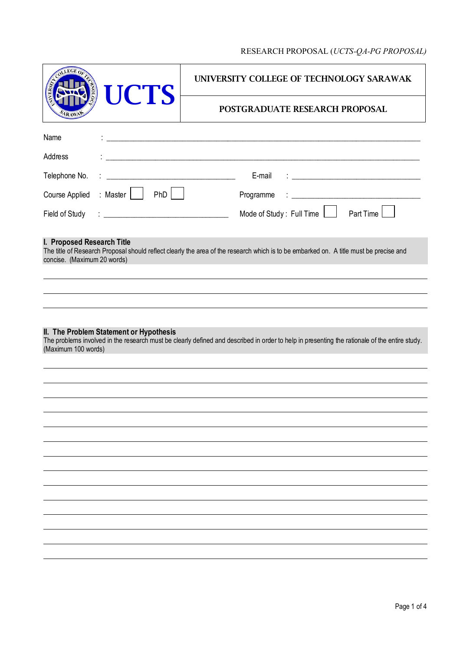# RESEARCH PROPOSAL (*UCTS-QA-PG PROPOSAL)*

| LEGE O<br><b>UCTS</b><br>$\frac{2}{10}$                                                                                                                                                                         | UNIVERSITY COLLEGE OF TECHNOLOGY SARAWAK                                                                              |  |
|-----------------------------------------------------------------------------------------------------------------------------------------------------------------------------------------------------------------|-----------------------------------------------------------------------------------------------------------------------|--|
|                                                                                                                                                                                                                 | POSTGRADUATE RESEARCH PROPOSAL                                                                                        |  |
| Name                                                                                                                                                                                                            | <u> 2000 - Jan Barnett, fransk politik (d. 1982)</u>                                                                  |  |
| Address                                                                                                                                                                                                         | <u> 1989 - Johann Harry Harry Harry Harry Harry Harry Harry Harry Harry Harry Harry Harry Harry Harry Harry Harry</u> |  |
| Telephone No.                                                                                                                                                                                                   | E-mail                                                                                                                |  |
| : Master $\vert$   PhD $\vert$<br>Course Applied                                                                                                                                                                | Programme                                                                                                             |  |
| Field of Study                                                                                                                                                                                                  | Mode of Study: Full Time<br>Part Time                                                                                 |  |
| I. Proposed Research Title<br>The title of Research Proposal should reflect clearly the area of the research which is to be embarked on. A title must be precise and<br>concise. (Maximum 20 words)             |                                                                                                                       |  |
|                                                                                                                                                                                                                 |                                                                                                                       |  |
|                                                                                                                                                                                                                 |                                                                                                                       |  |
|                                                                                                                                                                                                                 |                                                                                                                       |  |
| II. The Problem Statement or Hypothesis<br>The problems involved in the research must be clearly defined and described in order to help in presenting the rationale of the entire study.<br>(Maximum 100 words) |                                                                                                                       |  |
|                                                                                                                                                                                                                 |                                                                                                                       |  |
|                                                                                                                                                                                                                 |                                                                                                                       |  |
|                                                                                                                                                                                                                 |                                                                                                                       |  |
|                                                                                                                                                                                                                 |                                                                                                                       |  |
|                                                                                                                                                                                                                 |                                                                                                                       |  |
|                                                                                                                                                                                                                 |                                                                                                                       |  |
|                                                                                                                                                                                                                 |                                                                                                                       |  |
|                                                                                                                                                                                                                 |                                                                                                                       |  |
|                                                                                                                                                                                                                 |                                                                                                                       |  |
|                                                                                                                                                                                                                 |                                                                                                                       |  |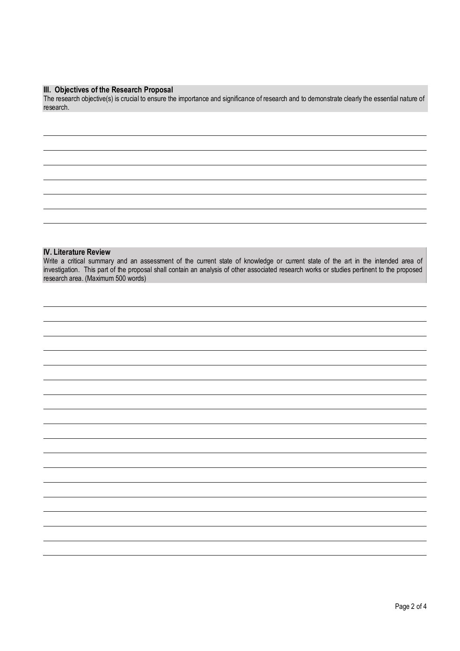### **III. Objectives of the Research Proposal**

The research objective(s) is crucial to ensure the importance and significance of research and to demonstrate clearly the essential nature of research.

## **IV. Literature Review**

Write a critical summary and an assessment of the current state of knowledge or current state of the art in the intended area of investigation. This part of the proposal shall contain an analysis of other associated research works or studies pertinent to the proposed research area. (Maximum 500 words)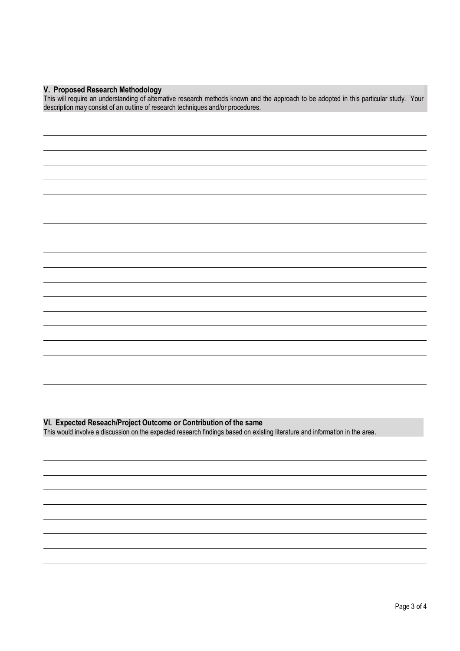## **V. Proposed Research Methodology**

This will require an understanding of alternative research methods known and the approach to be adopted in this particular study. Your description may consist of an outline of research techniques and/or procedures.

### **VI. Expected Reseach/Project Outcome or Contribution of the same**

This would involve a discussion on the expected research findings based on existing literature and information in the area.